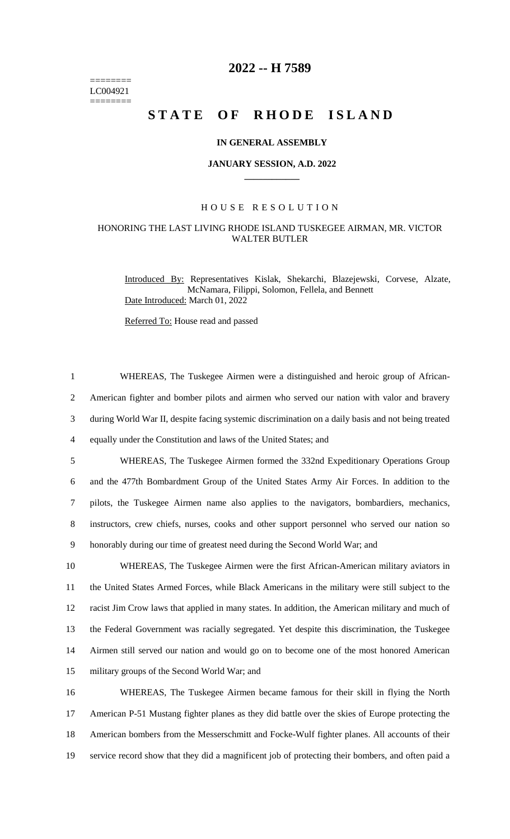======== LC004921 ========

## **2022 -- H 7589**

# **STATE OF RHODE ISLAND**

#### **IN GENERAL ASSEMBLY**

#### **JANUARY SESSION, A.D. 2022 \_\_\_\_\_\_\_\_\_\_\_\_**

#### H O U S E R E S O L U T I O N

### HONORING THE LAST LIVING RHODE ISLAND TUSKEGEE AIRMAN, MR. VICTOR WALTER BUTLER

Introduced By: Representatives Kislak, Shekarchi, Blazejewski, Corvese, Alzate, McNamara, Filippi, Solomon, Fellela, and Bennett Date Introduced: March 01, 2022

Referred To: House read and passed

 WHEREAS, The Tuskegee Airmen were a distinguished and heroic group of African- American fighter and bomber pilots and airmen who served our nation with valor and bravery during World War II, despite facing systemic discrimination on a daily basis and not being treated equally under the Constitution and laws of the United States; and WHEREAS, The Tuskegee Airmen formed the 332nd Expeditionary Operations Group and the 477th Bombardment Group of the United States Army Air Forces. In addition to the pilots, the Tuskegee Airmen name also applies to the navigators, bombardiers, mechanics, instructors, crew chiefs, nurses, cooks and other support personnel who served our nation so honorably during our time of greatest need during the Second World War; and WHEREAS, The Tuskegee Airmen were the first African-American military aviators in the United States Armed Forces, while Black Americans in the military were still subject to the racist Jim Crow laws that applied in many states. In addition, the American military and much of the Federal Government was racially segregated. Yet despite this discrimination, the Tuskegee Airmen still served our nation and would go on to become one of the most honored American military groups of the Second World War; and WHEREAS, The Tuskegee Airmen became famous for their skill in flying the North American P-51 Mustang fighter planes as they did battle over the skies of Europe protecting the

18 American bombers from the Messerschmitt and Focke-Wulf fighter planes. All accounts of their 19 service record show that they did a magnificent job of protecting their bombers, and often paid a